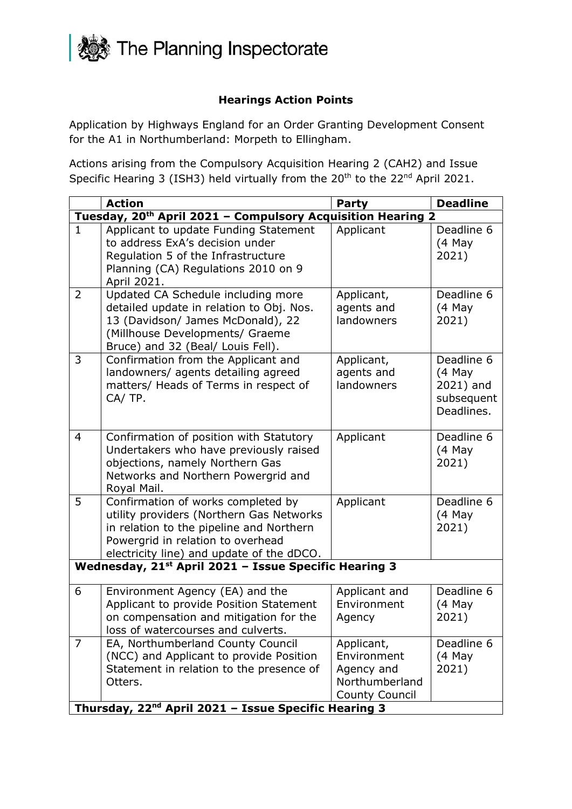

## **Hearings Action Points**

Application by Highways England for an Order Granting Development Consent for the A1 in Northumberland: Morpeth to Ellingham.

Actions arising from the Compulsory Acquisition Hearing 2 (CAH2) and Issue Specific Hearing 3 (ISH3) held virtually from the 20<sup>th</sup> to the 22<sup>nd</sup> April 2021.

|                                                                         | <b>Action</b>                                                                                                                                                                                                | <b>Party</b>                                                                | <b>Deadline</b>                                               |  |  |
|-------------------------------------------------------------------------|--------------------------------------------------------------------------------------------------------------------------------------------------------------------------------------------------------------|-----------------------------------------------------------------------------|---------------------------------------------------------------|--|--|
| Tuesday, 20 <sup>th</sup> April 2021 - Compulsory Acquisition Hearing 2 |                                                                                                                                                                                                              |                                                                             |                                                               |  |  |
| $\mathbf{1}$                                                            | Applicant to update Funding Statement<br>to address ExA's decision under<br>Regulation 5 of the Infrastructure<br>Planning (CA) Regulations 2010 on 9<br>April 2021.                                         | Applicant                                                                   | Deadline 6<br>$(4$ May<br>2021)                               |  |  |
| $\overline{2}$                                                          | Updated CA Schedule including more<br>detailed update in relation to Obj. Nos.<br>13 (Davidson/ James McDonald), 22<br>(Millhouse Developments/ Graeme<br>Bruce) and 32 (Beal/ Louis Fell).                  | Applicant,<br>agents and<br>landowners                                      | Deadline 6<br>$(4$ May<br>2021)                               |  |  |
| 3                                                                       | Confirmation from the Applicant and<br>landowners/ agents detailing agreed<br>matters/ Heads of Terms in respect of<br>CA/TP.                                                                                | Applicant,<br>agents and<br>landowners                                      | Deadline 6<br>(4 May<br>2021) and<br>subsequent<br>Deadlines. |  |  |
| 4                                                                       | Confirmation of position with Statutory<br>Undertakers who have previously raised<br>objections, namely Northern Gas<br>Networks and Northern Powergrid and<br>Royal Mail.                                   | Applicant                                                                   | Deadline 6<br>$(4$ May<br>2021)                               |  |  |
| 5                                                                       | Confirmation of works completed by<br>utility providers (Northern Gas Networks<br>in relation to the pipeline and Northern<br>Powergrid in relation to overhead<br>electricity line) and update of the dDCO. | Applicant                                                                   | Deadline 6<br>$(4$ May<br>2021)                               |  |  |
| Wednesday, 21 <sup>st</sup> April 2021 - Issue Specific Hearing 3       |                                                                                                                                                                                                              |                                                                             |                                                               |  |  |
| 6                                                                       | Environment Agency (EA) and the<br>Applicant to provide Position Statement<br>on compensation and mitigation for the<br>loss of watercourses and culverts.                                                   | Applicant and<br>Environment<br>Agency                                      | Deadline 6<br>(4 May<br>2021)                                 |  |  |
| 7                                                                       | EA, Northumberland County Council<br>(NCC) and Applicant to provide Position<br>Statement in relation to the presence of<br>Otters.<br>Thursday, 22 <sup>nd</sup> April 2021 - Issue Specific Hearing 3      | Applicant,<br>Environment<br>Agency and<br>Northumberland<br>County Council | Deadline 6<br>$(4$ May<br>2021)                               |  |  |
|                                                                         |                                                                                                                                                                                                              |                                                                             |                                                               |  |  |